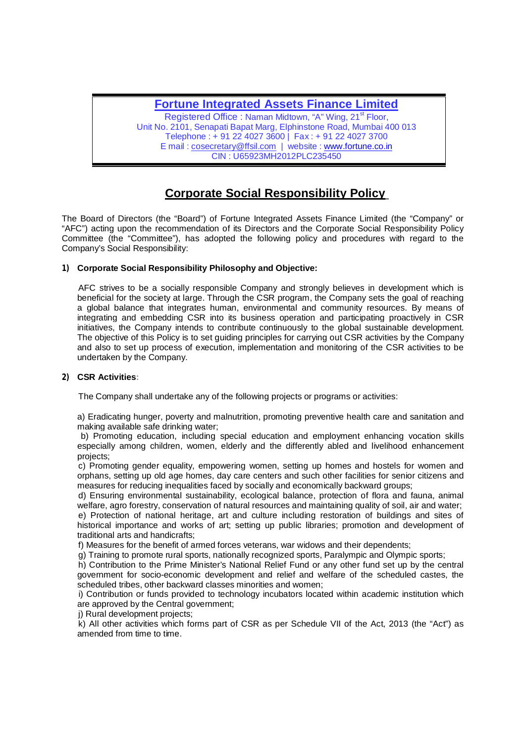## **Fortune Integrated Assets Finance Limited**

Registered Office: Naman Midtown, "A" Wing, 21<sup>st</sup> Floor, Unit No. 2101, Senapati Bapat Marg, Elphinstone Road, Mumbai 400 013 Telephone : + 91 22 4027 3600 | Fax : + 91 22 4027 3700 E mail : [cosecretary@ffsil.com](mailto:cosecretary@ffsil.com) | website : [www.fortune.co.in](http://www.fortune.co.in) CIN : U65923MH2012PLC235450

# **Corporate Social Responsibility Policy**

The Board of Directors (the "Board") of Fortune Integrated Assets Finance Limited (the "Company" or "AFC") acting upon the recommendation of its Directors and the Corporate Social Responsibility Policy Committee (the "Committee"), has adopted the following policy and procedures with regard to the Company's Social Responsibility:

#### **1) Corporate Social Responsibility Philosophy and Objective:**

 AFC strives to be a socially responsible Company and strongly believes in development which is beneficial for the society at large. Through the CSR program, the Company sets the goal of reaching a global balance that integrates human, environmental and community resources. By means of integrating and embedding CSR into its business operation and participating proactively in CSR initiatives, the Company intends to contribute continuously to the global sustainable development. The objective of this Policy is to set guiding principles for carrying out CSR activities by the Company and also to set up process of execution, implementation and monitoring of the CSR activities to be undertaken by the Company.

#### **2) CSR Activities:**

The Company shall undertake any of the following projects or programs or activities:

a) Eradicating hunger, poverty and malnutrition, promoting preventive health care and sanitation and making available safe drinking water;

 b) Promoting education, including special education and employment enhancing vocation skills especially among children, women, elderly and the differently abled and livelihood enhancement projects;

 c) Promoting gender equality, empowering women, setting up homes and hostels for women and orphans, setting up old age homes, day care centers and such other facilities for senior citizens and measures for reducing inequalities faced by socially and economically backward groups;

 d) Ensuring environmental sustainability, ecological balance, protection of flora and fauna, animal welfare, agro forestry, conservation of natural resources and maintaining quality of soil, air and water; e) Protection of national heritage, art and culture including restoration of buildings and sites of historical importance and works of art; setting up public libraries; promotion and development of traditional arts and handicrafts;

f) Measures for the benefit of armed forces veterans, war widows and their dependents;

g) Training to promote rural sports, nationally recognized sports, Paralympic and Olympic sports;

 h) Contribution to the Prime Minister's National Relief Fund or any other fund set up by the central government for socio-economic development and relief and welfare of the scheduled castes, the scheduled tribes, other backward classes minorities and women;

 i) Contribution or funds provided to technology incubators located within academic institution which are approved by the Central government;

i) Rural development projects:

 k) All other activities which forms part of CSR as per Schedule VII of the Act, 2013 (the "Act") as amended from time to time.